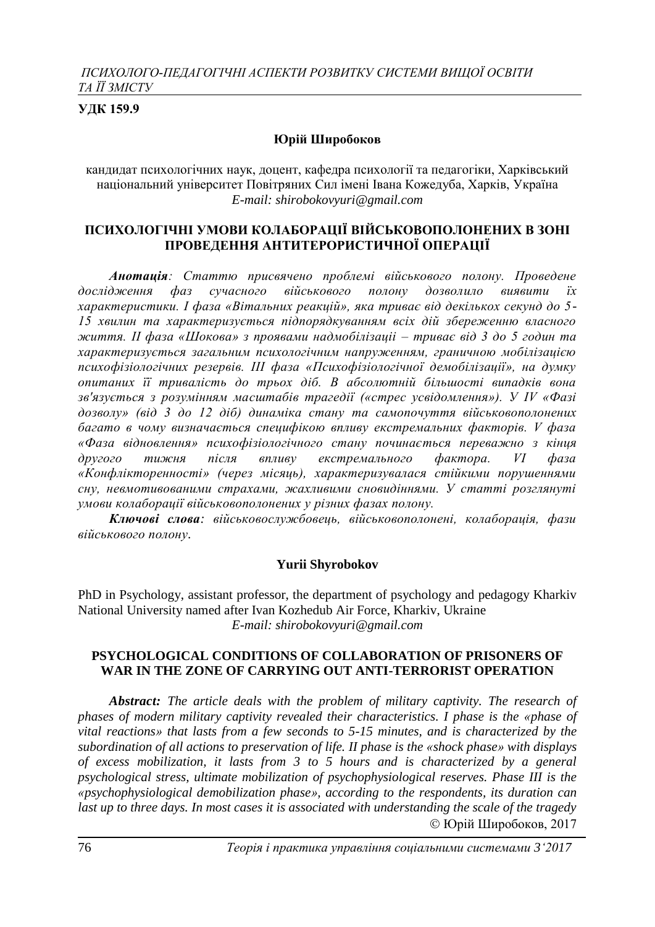# **УДК 159.9**

## **Юрій Широбоков**

кандидат психологічних наук, доцент, кафедра психології та педагогіки, Харківський національний університет Повітряних Сил імені Івана Кожедуба, Харків, Україна *E-mail: shirobokovyuri@gmail.com*

## **ПСИХОЛОГІЧНІ УМОВИ КОЛАБОРАЦІЇ ВІЙСЬКОВОПОЛОНЕНИХ В ЗОНІ ПРОВЕДЕННЯ АНТИТЕРОРИСТИЧНОЇ ОПЕРАЦІЇ**

*Анотація: Статтю присвячено проблемі військового полону. Проведене дослідження фаз сучасного військового полону дозволило виявити їх характеристики. І фаза «Вітальних реакцій», яка триває від декількох секунд до 5- 15 хвилин та характеризується підпорядкуванням всіх дій збереженню власного життя. ІІ фаза «Шокова» з проявами надмобілізаціі – триває від 3 до 5 годин та характеризується загальним психологічним напруженням, граничною мобілізацією психофізіологічних резервів. ІІІ фаза «Психофізіологічної демобілізації», на думку опитаних її тривалість до трьох діб. В абсолютній більшості випадків вона зв'язується з розумінням масштабів трагедії («стрес усвідомлення»). У ІV «Фазі дозволу» (від 3 до 12 діб) динаміка стану та самопочуття військовополонених багато в чому визначається специфікою впливу екстремальних факторів. V фаза «Фаза відновлення» психофізіологічного стану починається переважно з кінця другого тижня після впливу екстремального фактора. VІ фаза «Конфлікторенності» (через місяць), характеризувалася стійкими порушеннями сну, невмотивованими страхами, жахливими сновидіннями. У статті розглянуті умови колаборації військовополонених у різних фазах полону.*

*Ключові слова: військовослужбовець, військовополонені, колаборація, фази військового полону.*

### **Yurii Shyrobokov**

PhD in Psychology, assistant professor, the department of psychology and pedagogy Kharkiv National University named after Ivan Kozhedub Air Force, Kharkiv, Ukraine *E-mail: shirobokovyuri@gmail.com*

### **PSYCHOLOGICAL CONDITIONS OF COLLABORATION OF PRISONERS OF WAR IN THE ZONE OF CARRYING OUT ANTI-TERRORIST OPERATION**

*Abstract: The article deals with the problem of military captivity. The research of phases of modern military captivity revealed their characteristics. I phase is the «phase of vital reactions» that lasts from a few seconds to 5-15 minutes, and is characterized by the subordination of all actions to preservation of life. II phase is the «shock phase» with displays of excess mobilization, it lasts from 3 to 5 hours and is characterized by a general psychological stress, ultimate mobilization of psychophysiological reserves. Phase III is the «psychophysiological demobilization phase», according to the respondents, its duration can last up to three days. In most cases it is associated with understanding the scale of the tragedy*  Юрій Широбоков, 2017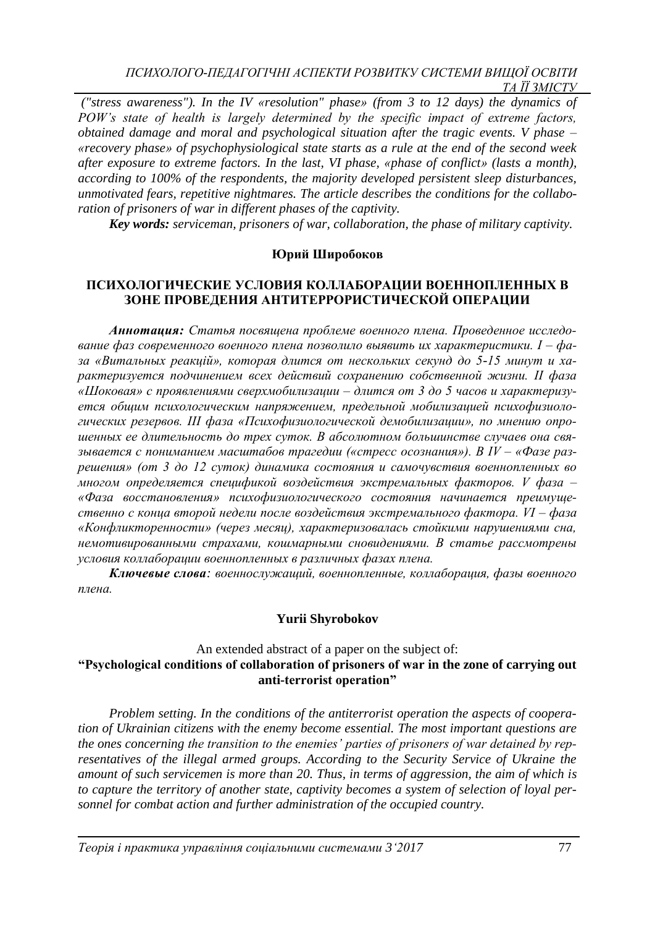*("stress awareness"). In the IV «resolution" phase» (from 3 to 12 days) the dynamics of POW's state of health is largely determined by the specific impact of extreme factors, obtained damage and moral and psychological situation after the tragic events. V phase – «recovery phase» of psychophysiological state starts as a rule at the end of the second week after exposure to extreme factors. In the last, VI phase, «phase of conflict» (lasts a month), according to 100% of the respondents, the majority developed persistent sleep disturbances, unmotivated fears, repetitive nightmares. The article describes the conditions for the collaboration of prisoners of war in different phases of the captivity.*

*Key words: serviceman, prisoners of war, collaboration, the phase of military captivity.*

# **Юрий Широбоков**

# **ПСИХОЛОГИЧЕСКИЕ УСЛОВИЯ КОЛЛАБОРАЦИИ ВОЕННОПЛЕННЫХ В ЗОНЕ ПРОВЕДЕНИЯ АНТИТЕРРОРИСТИЧЕСКОЙ ОПЕРАЦИИ**

*Аннотация: Статья посвящена проблеме военного плена. Проведенное исследование фаз современного военного плена позволило выявить их характеристики. І – фаза «Витальных реакцій», которая длится от нескольких секунд до 5-15 минут и характеризуется подчинением всех действий сохранению собственной жизни. ІІ фаза «Шоковая» с проявлениями сверхмобилизации – длится от 3 до 5 часов и характеризуется общим психологическим напряжением, предельной мобилизацией психофизиологических резервов. ІІІ фаза «Психофизиологической демобилизации», по мнению опрошенных ее длительность до трех суток. В абсолютном большинстве случаев она связывается с пониманием масштабов трагедии («стресс осознания»). В ІV – «Фазе разрешения» (от 3 до 12 суток) динамика состояния и самочувствия военнопленных во многом определяется спецификой воздействия экстремальных факторов. V фаза – «Фаза восстановления» психофизиологического состояния начинается преимущественно с конца второй недели после воздействия экстремального фактора. VІ – фаза «Конфликторенности» (через месяц), характеризовалась стойкими нарушениями сна, немотивированными страхами, кошмарными сновидениями. В статье рассмотрены условия коллаборации военнопленных в различных фазах плена.*

*Ключевые слова: военнослужащий, военнопленные, коллаборация, фазы военного плена.*

# **Yurii Shyrobokov**

## An extended abstract of a paper on the subject of: **"Psychological conditions of collaboration of prisoners of war in the zone of carrying out anti-terrorist operation"**

*Problem setting. In the conditions of the antiterrorist operation the aspects of cooperation of Ukrainian citizens with the enemy become essential. The most important questions are the ones concerning the transition to the enemies' parties of prisoners of war detained by representatives of the illegal armed groups. According to the Security Service of Ukraine the amount of such servicemen is more than 20. Thus, in terms of aggression, the aim of which is to capture the territory of another state, captivity becomes a system of selection of loyal personnel for combat action and further administration of the occupied country.*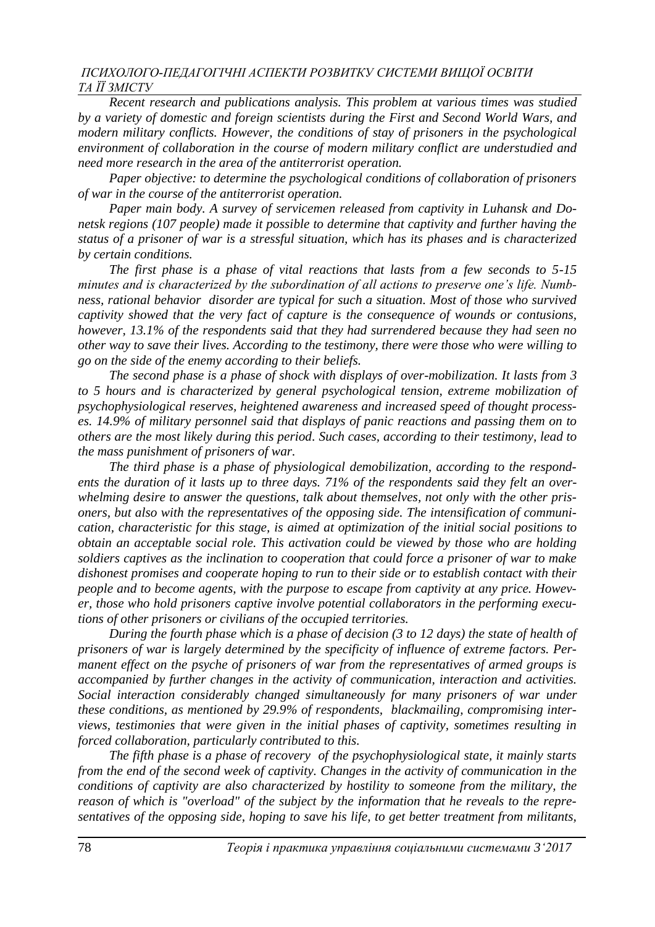*Recent research and publications analysis. This problem at various times was studied by a variety of domestic and foreign scientists during the First and Second World Wars, and modern military conflicts. However, the conditions of stay of prisoners in the psychological environment of collaboration in the course of modern military conflict are understudied and need more research in the area of the antiterrorist operation.* 

*Paper objective: to determine the psychological conditions of collaboration of prisoners of war in the course of the antiterrorist operation.*

*Paper main body. A survey of servicemen released from captivity in Luhansk and Donetsk regions (107 people) made it possible to determine that captivity and further having the status of a prisoner of war is a stressful situation, which has its phases and is characterized by certain conditions.*

*The first phase is a phase of vital reactions that lasts from a few seconds to 5-15 minutes and is characterized by the subordination of all actions to preserve one's life. Numbness, rational behavior disorder are typical for such a situation. Most of those who survived captivity showed that the very fact of capture is the consequence of wounds or contusions, however, 13.1% of the respondents said that they had surrendered because they had seen no other way to save their lives. According to the testimony, there were those who were willing to go on the side of the enemy according to their beliefs.*

*The second phase is a phase of shock with displays of over-mobilization. It lasts from 3 to 5 hours and is characterized by general psychological tension, extreme mobilization of psychophysiological reserves, heightened awareness and increased speed of thought processes. 14.9% of military personnel said that displays of panic reactions and passing them on to others are the most likely during this period. Such cases, according to their testimony, lead to the mass punishment of prisoners of war.* 

*The third phase is a phase of physiological demobilization, according to the respondents the duration of it lasts up to three days. 71% of the respondents said they felt an overwhelming desire to answer the questions, talk about themselves, not only with the other prisoners, but also with the representatives of the opposing side. The intensification of communication, characteristic for this stage, is aimed at optimization of the initial social positions to obtain an acceptable social role. This activation could be viewed by those who are holding soldiers captives as the inclination to cooperation that could force a prisoner of war to make dishonest promises and cooperate hoping to run to their side or to establish contact with their people and to become agents, with the purpose to escape from captivity at any price. However, those who hold prisoners captive involve potential collaborators in the performing executions of other prisoners or civilians of the occupied territories.*

*During the fourth phase which is a phase of decision (3 to 12 days) the state of health of prisoners of war is largely determined by the specificity of influence of extreme factors. Permanent effect on the psyche of prisoners of war from the representatives of armed groups is accompanied by further changes in the activity of communication, interaction and activities. Social interaction considerably changed simultaneously for many prisoners of war under these conditions, as mentioned by 29.9% of respondents, blackmailing, compromising interviews, testimonies that were given in the initial phases of captivity, sometimes resulting in forced collaboration, particularly contributed to this.*

*The fifth phase is a phase of recovery of the psychophysiological state, it mainly starts from the end of the second week of captivity. Changes in the activity of communication in the conditions of captivity are also characterized by hostility to someone from the military, the reason of which is "overload" of the subject by the information that he reveals to the representatives of the opposing side, hoping to save his life, to get better treatment from militants,*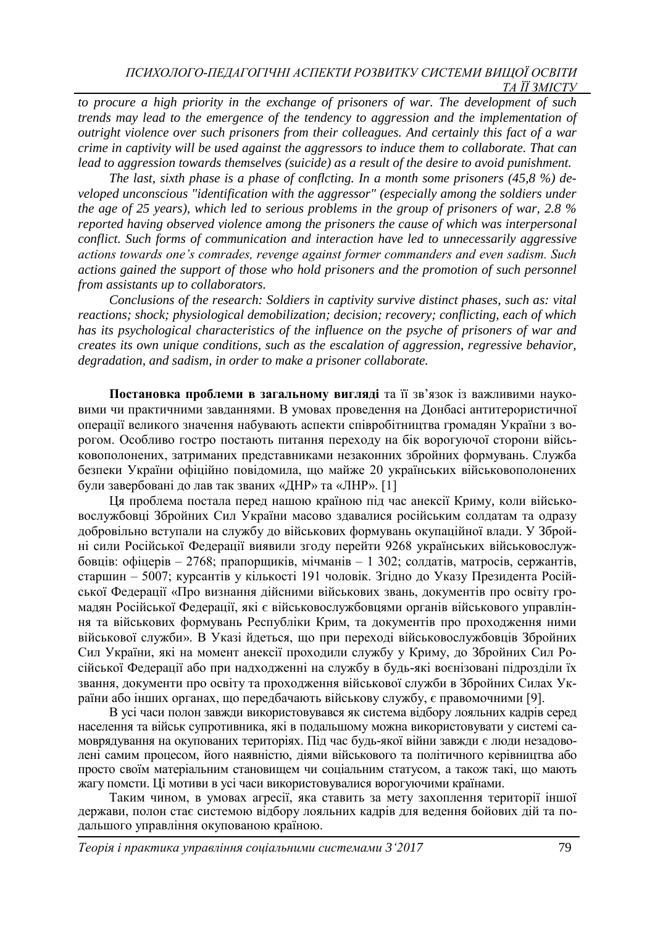*to procure a high priority in the exchange of prisoners of war. The development of such trends may lead to the emergence of the tendency to aggression and the implementation of outright violence over such prisoners from their colleagues. And certainly this fact of a war crime in captivity will be used against the aggressors to induce them to collaborate. That can lead to aggression towards themselves (suicide) as a result of the desire to avoid punishment.* 

*The last, sixth phase is a phase of conflcting. In a month some prisoners (45,8 %) developed unconscious "identification with the aggressor" (especially among the soldiers under the age of 25 years), which led to serious problems in the group of prisoners of war, 2.8 % reported having observed violence among the prisoners the cause of which was interpersonal conflict. Such forms of communication and interaction have led to unnecessarily aggressive actions towards one's comrades, revenge against former commanders and even sadism. Such actions gained the support of those who hold prisoners and the promotion of such personnel from assistants up to collaborators.*

*Conclusions of the research: Soldiers in captivity survive distinct phases, such as: vital reactions; shock; physiological demobilization; decision; recovery; conflicting, each of which has its psychological characteristics of the influence on the psyche of prisoners of war and creates its own unique conditions, such as the escalation of aggression, regressive behavior, degradation, and sadism, in order to make a prisoner collaborate.*

**Постановка проблеми в загальному вигляді** та її зв'язок із важливими науковими чи практичними завданнями. В умовах проведення на Донбасі антитерористичної операції великого значення набувають аспекти співробітництва громадян України з ворогом. Особливо гостро постають питання переходу на бік ворогуючої сторони військовополонених, затриманих представниками незаконних збройних формувань. Служба безпеки України офіційно повідомила, що майже 20 українських військовополонених були завербовані до лав так званих «ДНР» та «ЛНР». [1]

Ця проблема постала перед нашою країною під час анексії Криму, коли військовослужбовці Збройних Сил України масово здавалися російським солдатам та одразу добровільно вступали на службу до військових формувань окупаційної влади. У Збройні сили Російської Федерації виявили згоду перейти 9268 українських військовослужбовців: офіцерів – 2768; прапорщиків, мічманів – 1 302; солдатів, матросів, сержантів, старшин – 5007; курсантів у кількості 191 чоловік. Згідно до Указу Президента Російської Федерації «Про визнання дійсними військових звань, документів про освіту громадян Російської Федерації, які є військовослужбовцями органів військового управління та військових формувань Республіки Крим, та документів про проходження ними військової служби». В Указі йдеться, що при переході військовослужбовців Збройних Сил України, які на момент анексії проходили службу у Криму, до Збройних Сил Російської Федерації або при надходженні на службу в будь-які воєнізовані підрозділи їх звання, документи про освіту та проходження військової служби в Збройних Силах України або інших органах, що передбачають військову службу, є правомочними [9].

В усі часи полон завжди використовувався як система відбору лояльних кадрів серед населення та військ супротивника, які в подальшому можна використовувати у системі самоврядування на окупованих територіях. Під час будь-якої війни завжди є люди незадоволені самим процесом, його наявністю, діями військового та політичного керівництва або просто своїм матеріальним становищем чи соціальним статусом, а також такі, що мають жагу помсти. Ці мотиви в усі часи використовувалися ворогуючими країнами.

Таким чином, в умовах агресії, яка ставить за мету захоплення території іншої держави, полон стає системою відбору лояльних кадрів для ведення бойових дій та подальшого управління окупованою країною.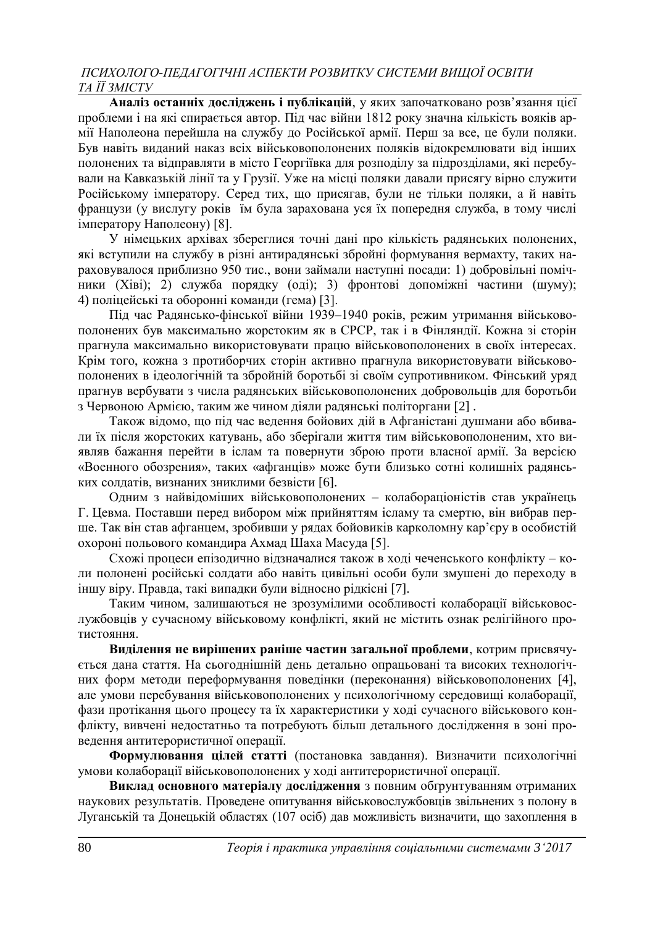**Аналіз останніх досліджень і публікацій**, у яких започатковано розв'язання цієї проблеми і на які спирається автор. Під час війни 1812 року значна кількість вояків армії Наполеона перейшла на службу до Російської армії. Перш за все, це були поляки. Був навіть виданий наказ всіх військовополонених поляків відокремлювати від інших полонених та відправляти в місто Георгіївка для розподілу за підрозділами, які перебували на Кавказькій лінії та у Грузії. Уже на місці поляки давали присягу вірно служити Російському імператору. Серед тих, що присягав, були не тільки поляки, а й навіть французи (у вислугу років їм була зарахована уся їх попередня служба, в тому числі імператору Наполеону) [8].

У німецьких архівах збереглися точні дані про кількість радянських полонених, які вступили на службу в різні антирадянські збройні формування вермахту, таких нараховувалося приблизно 950 тис., вони займали наступні посади: 1) добровільні помічники (Хіві); 2) служба порядку (оді); 3) фронтові допоміжні частини (шуму); 4) поліцейські та оборонні команди (гема) [3].

Під час Pадянсько-фінської війни 1939–1940 років, режим утримання військовополонених був максимально жорстоким як в СРСР, так і в Фінляндії. Кожна зі сторін прагнула максимально використовувати працю військовополонених в своїх інтересах. Крім того, кожна з протиборчих сторін активно прагнула використовувати військовополонених в ідеологічній та збройній боротьбі зі своїм супротивником. Фінський уряд прагнув вербувати з числа радянських військовополонених добровольців для боротьби з Червоною Армією, таким же чином діяли радянські політоргани [2] .

Також відомо, що під час ведення бойових дій в Афганістані душмани або вбивали їх після жорстоких катувань, або зберігали життя тим військовополоненим, хто виявляв бажання перейти в іслам та повернути зброю проти власної армії. За версією «Военного обозрения», таких «афганців» може бути близько сотні колишніх радянських солдатів, визнаних зниклими безвісти [6].

Одним з найвідоміших військовополонених – колабораціоністів став українець Г. Цевма. Поставши перед вибором між прийняттям ісламу та смертю, він вибрав перше. Так він став афганцем, зробивши у рядах бойовиків карколомну кар'єру в особистій охороні польового командира Ахмад Шаха Масуда [5].

Схожі процеси епізодично відзначалися також в ході чеченського конфлікту – коли полонені російські солдати або навіть цивільні особи були змушені до переходу в іншу віру. Правда, такі випадки були відносно рідкісні [7].

Таким чином, залишаються не зрозумілими особливості колаборації військовослужбовців у сучасному військовому конфлікті, який не містить ознак релігійного протистояння.

**Виділення не вирішених раніше частин загальної проблеми**, котрим присвячується дана стаття. На сьогоднішній день детально опрацьовані та високих технологічних форм методи переформування поведінки (переконання) військовополонених [4], але умови перебування військовополонених у психологічному середовищі колаборації, фази протікання цього процесу та їх характеристики у ході сучасного військового конфлікту, вивчені недостатньо та потребують більш детального дослідження в зоні проведення антитерористичної операції.

**Формулювання цілей статті** (постановка завдання). Визначити психологічні умови колаборації військовополонених у ході антитерористичної операції.

**Виклад основного матеріалу дослідження** з повним обґрунтуванням отриманих наукових результатів. Проведене опитування військовослужбовців звільнених з полону в Луганській та Донецькій областях (107 осіб) дав можливість визначити, що захоплення в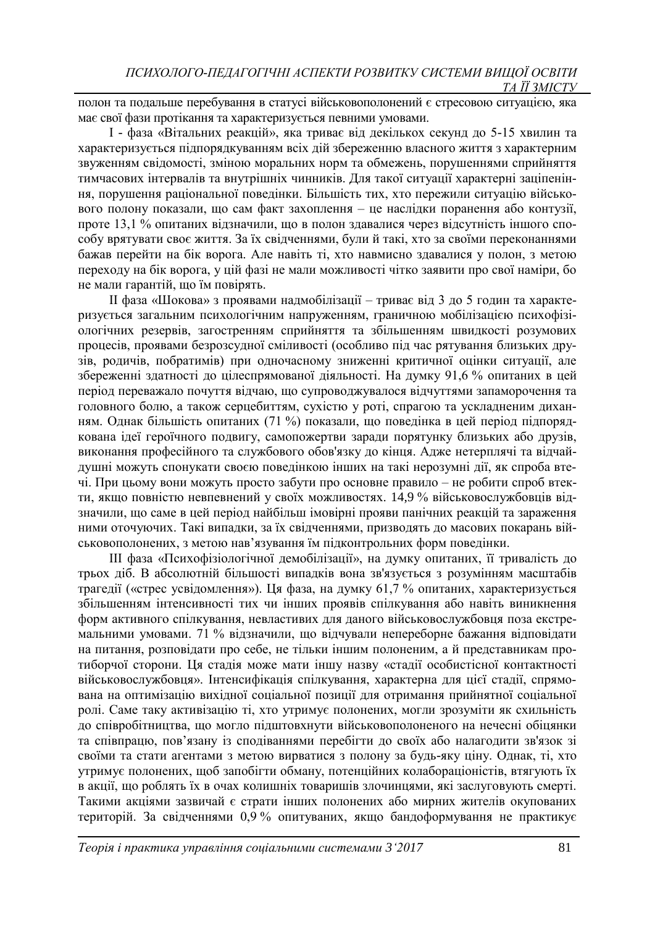полон та подальше перебування в статусі військовополонений є стресовою ситуацією, яка має свої фази протікання та характеризується певними умовами.

І - фаза «Вітальних реакцій», яка триває від декількох секунд до 5-15 хвилин та характеризується підпорядкуванням всіх дій збереженню власного життя з характерним звуженням свідомості, зміною моральних норм та обмежень, порушеннями сприйняття тимчасових інтервалів та внутрішніх чинників. Для такої ситуації характерні заціпеніння, порушення раціональної поведінки. Більшість тих, хто пережили ситуацію військового полону показали, що сам факт захоплення – це наслідки поранення або контузії, проте 13,1 % опитаних відзначили, що в полон здавалися через відсутність іншого способу врятувати своє життя. За їх свідченнями, були й такі, хто за своїми переконаннями бажав перейти на бік ворога. Але навіть ті, хто навмисно здавалися у полон, з метою переходу на бік ворога, у цій фазі не мали можливості чітко заявити про свої наміри, бо не мали гарантій, що їм повірять.

ІІ фаза «Шокова» з проявами надмобілізації – триває від 3 до 5 годин та характеризується загальним психологічним напруженням, граничною мобілізацією психофізіологічних резервів, загостренням сприйняття та збільшенням швидкості розумових процесів, проявами безрозсудної сміливості (особливо під час рятування близьких друзів, родичів, побратимів) при одночасному зниженні критичної оцінки ситуації, але збереженні здатності до цілеспрямованої діяльності. На думку 91,6 % опитаних в цей період переважало почуття відчаю, що супроводжувалося відчуттями запаморочення та головного болю, а також серцебиттям, сухістю у роті, спрагою та ускладненим диханням. Однак більшість опитаних (71 %) показали, що поведінка в цей період підпорядкована ідеї героїчного подвигу, самопожертви заради порятунку близьких або друзів, виконання професійного та службового обов'язку до кінця. Адже нетерплячі та відчайдушні можуть спонукати своєю поведінкою інших на такі нерозумні дії, як спроба втечі. При цьому вони можуть просто забути про основне правило – не робити спроб втекти, якщо повністю невпевнений у своїх можливостях. 14,9 % військовослужбовців відзначили, що саме в цей період найбільш імовірні прояви панічних реакцій та зараження ними оточуючих. Такі випадки, за їх свідченнями, призводять до масових покарань військовополонених, з метою нав'язування їм підконтрольних форм поведінки.

ІІІ фаза «Психофізіологічної демобілізації», на думку опитаних, її тривалість до трьох діб. В абсолютній більшості випадків вона зв'язується з розумінням масштабів трагедії («стрес усвідомлення»). Ця фаза, на думку 61,7 % опитаних, характеризується збільшенням інтенсивності тих чи інших проявів спілкування або навіть виникнення форм активного спілкування, невластивих для даного військовослужбовця поза екстремальними умовами. 71 % відзначили, що відчували непереборне бажання відповідати на питання, розповідати про себе, не тільки іншим полоненим, а й представникам протиборчої сторони. Ця стадія може мати іншу назву «стадії особистісної контактності військовослужбовця». Інтенсифікація спілкування, характерна для цієї стадії, спрямована на оптимізацію вихідної соціальної позиції для отримання прийнятної соціальної ролі. Саме таку активізацію ті, хто утримує полонених, могли зрозуміти як схильність до співробітництва, що могло підштовхнути військовополоненого на нечесні обіцянки та співпрацю, пов'язану із сподіваннями перебігти до своїх або налагодити зв'язок зі своїми та стати агентами з метою вирватися з полону за будь-яку ціну. Однак, ті, хто утримує полонених, щоб запобігти обману, потенційних колабораціоністів, втягують їх в акції, що роблять їх в очах колишніх товаришів злочинцями, які заслуговують смерті. Такими акціями зазвичай є страти інших полонених або мирних жителів окупованих територій. За свідченнями 0,9 % опитуваних, якщо бандоформування не практикує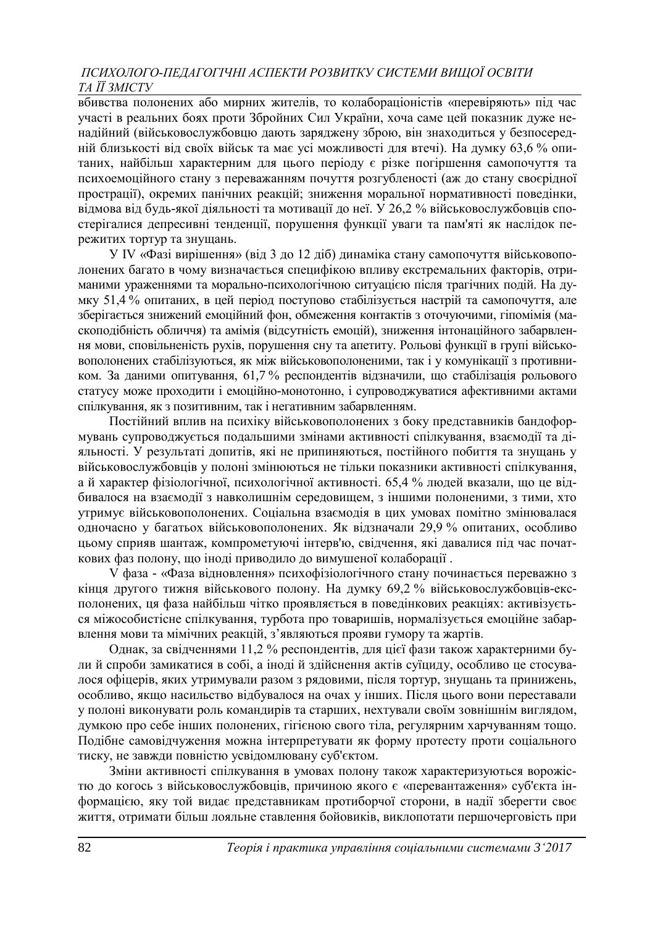вбивства полонених або мирних жителів, то колабораціоністів «перевіряють» під час участі в реальних боях проти Збройних Сил України, хоча саме цей показник дуже ненадійний (військовослужбовцю дають заряджену зброю, він знаходиться у безпосередній близькості від своїх військ та має усі можливості для втечі). На думку 63,6 % опитаних, найбільш характерним для цього періоду є різке погіршення самопочуття та психоемоційного стану з переважанням почуття розгубленості (аж до стану своєрідної прострації), окремих панічних реакцій; зниження моральної нормативності поведінки, відмова від будь-якої діяльності та мотивації до неї. У 26,2 % військовослужбовців спостерігалися депресивні тенденції, порушення функції уваги та пам'яті як наслідок пережитих тортур та знущань.

У ІV «Фазі вирішення» (від 3 до 12 діб) динаміка стану самопочуття військовополонених багато в чому визначається специфікою впливу екстремальних факторів, отриманими ураженнями та морально-психологічною ситуацією після трагічних подій. На думку 51,4 % опитаних, в цей період поступово стабілізується настрій та самопочуття, але зберігається знижений емоційний фон, обмеження контактів з оточуючими, гіпомімія (маскоподібність обличчя) та амімія (відсутність емоцій), зниження інтонаційного забарвлення мови, сповільненість рухів, порушення сну та апетиту. Рольові функції в групі військовополонених стабілізуються, як між військовополоненими, так і у комунікації з противником. За даними опитування, 61,7 % респондентів відзначили, що стабілізація рольового статусу може проходити і емоційно-монотонно, і супроводжуватися афективними актами спілкування, як з позитивним, так і негативним забарвленням.

Постійний вплив на психіку військовополонених з боку представників бандоформувань супроводжується подальшими змінами активності спілкування, взаємодії та діяльності. У результаті допитів, які не припиняються, постійного побиття та знущань у військовослужбовців у полоні змінюються не тільки показники активності спілкування, а й характер фізіологічної, психологічної активності. 65,4 % людей вказали, що це відбивалося на взаємодії з навколишнім середовищем, з іншими полоненими, з тими, хто утримує військовополонених. Соціальна взаємодія в цих умовах помітно змінювалася одночасно у багатьох військовополонених. Як відзначали 29,9 % опитаних, особливо цьому сприяв шантаж, компрометуючі інтерв'ю, свідчення, які давалися під час початкових фаз полону, що іноді приводило до вимушеної колаборації .

V фаза - «Фаза відновлення» психофізіологічного стану починається переважно з кінця другого тижня військового полону. На думку 69,2 % військовослужбовців-експолонених, ця фаза найбільш чітко проявляється в поведінкових реакціях: активізується міжособистісне спілкування, турбота про товаришів, нормалізується емоційне забарвлення мови та мімічних реакцій, з'являються прояви гумору та жартів.

Однак, за свідченнями 11,2 % респондентів, для цієї фази також характерними були й спроби замикатися в собі, а іноді й здійснення актів суїциду, особливо це стосувалося офіцерів, яких утримували разом з рядовими, після тортур, знущань та принижень, особливо, якщо насильство відбувалося на очах у інших. Після цього вони переставали у полоні виконувати роль командирів та старших, нехтували своїм зовнішнім виглядом, думкою про себе інших полонених, гігієною свого тіла, регулярним харчуванням тощо. Подібне самовідчуження можна інтерпретувати як форму протесту проти соціального тиску, не завжди повністю усвідомлювану суб'єктом.

Зміни активності спілкування в умовах полону також характеризуються ворожістю до когось з військовослужбовців, причиною якого є «перевантаження» суб'єкта інформацією, яку той видає представникам протиборчої сторони, в надії зберегти своє життя, отримати більш лояльне ставлення бойовиків, виклопотати першочерговість при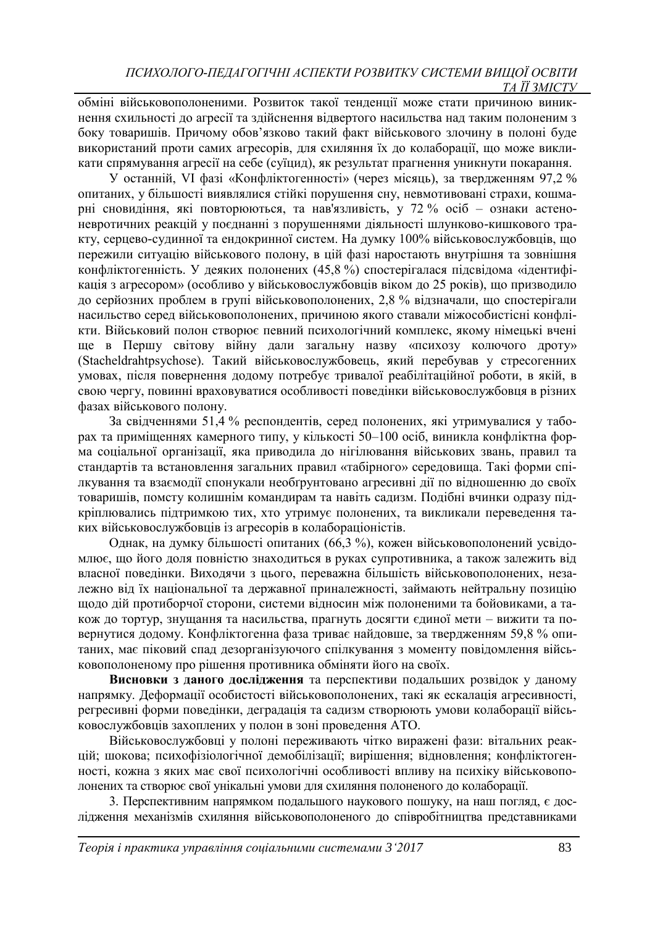обміні військовополоненими. Розвиток такої тенденції може стати причиною виникнення схильності до агресії та здійснення відвертого насильства над таким полоненим з боку товаришів. Причому обов'язково такий факт військового злочину в полоні буде використаний проти самих агресорів, для схиляння їх до колаборації, що може викликати спрямування агресії на себе (суїцид), як результат прагнення уникнути покарання.

У останній, VІ фазі «Конфліктогенності» (через місяць), за твердженням 97,2 % опитаних, у більшості виявлялися стійкі порушення сну, невмотивовані страхи, кошмарні сновидіння, які повторюються, та нав'язливість, у 72 % осіб – ознаки астеноневротичних реакцій у поєднанні з порушеннями діяльності шлунково-кишкового тракту, серцево-судинної та ендокринної систем. На думку 100% військовослужбовців, що пережили ситуацію військового полону, в цій фазі наростають внутрішня та зовнішня конфліктогенність. У деяких полонених (45,8 %) спостерігалася підсвідома «ідентифікація з агресором» (особливо у військовослужбовців віком до 25 років), що призводило до серйозних проблем в групі військовополонених, 2,8 % відзначали, що спостерігали насильство серед військовополонених, причиною якого ставали міжособистісні конфлікти. Військовий полон створює певний психологічний комплекс, якому німецькі вчені ще в Першу світову війну дали загальну назву «психозу колючого дроту» (Stacheldrahtpsychose). Такий військовослужбовець, який перебував у стресогенних умовах, після повернення додому потребує тривалої реабілітаційної роботи, в якій, в свою чергу, повинні враховуватися особливості поведінки військовослужбовця в різних фазах військового полону.

За свідченнями 51,4 % респондентів, серед полонених, які утримувалися у таборах та приміщеннях камерного типу, у кількості 50–100 осіб, виникла конфліктна форма соціальної організації, яка приводила до нігілювання військових звань, правил та стандартів та встановлення загальних правил «табірного» середовища. Такі форми спілкування та взаємодії спонукали необґрунтовано агресивні дії по відношенню до своїх товаришів, помсту колишнім командирам та навіть садизм. Подібні вчинки одразу підкріплювались підтримкою тих, хто утримує полонених, та викликали переведення таких військовослужбовців із агресорів в колабораціоністів.

Однак, на думку більшості опитаних (66,3 %), кожен військовополонений усвідомлює, що його доля повністю знаходиться в руках супротивника, а також залежить від власної поведінки. Виходячи з цього, переважна більшість військовополонених, незалежно від їх національної та державної приналежності, займають нейтральну позицію щодо дій протиборчої сторони, системи відносин між полоненими та бойовиками, а також до тортур, знущання та насильства, прагнуть досягти єдиної мети – вижити та повернутися додому. Конфліктогенна фаза триває найдовше, за твердженням 59,8 % опитаних, має піковий спад дезорганізуючого спілкування з моменту повідомлення військовополоненому про рішення противника обміняти його на своїх.

**Висновки з даного дослідження** та перспективи подальших розвідок у даному напрямку. Деформації особистості військовополонених, такі як ескалація агресивності, регресивні форми поведінки, деградація та садизм створюють умови колаборації військовослужбовців захоплених у полон в зоні проведення АТО.

Військовослужбовці у полоні переживають чітко виражені фази: вітальних реакцій; шокова; психофізіологічної демобілізації; вирішення; відновлення; конфліктогенності, кожна з яких має свої психологічні особливості впливу на психіку військовополонених та створює свої унікальні умови для схиляння полоненого до колаборації.

3. Перспективним напрямком подальшого наукового пошуку, на наш погляд, є дослідження механізмів схиляння військовополоненого до співробітництва представниками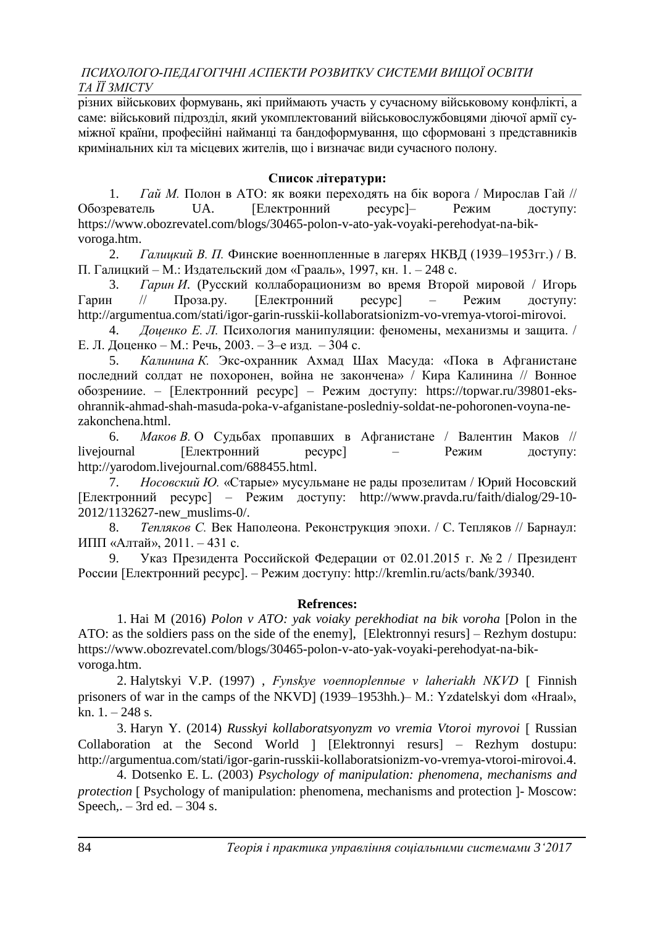різних військових формувань, які приймають участь у сучасному військовому конфлікті, а саме: військовий підрозділ, який укомплектований військовослужбовцями діючої армії суміжної країни, професійні найманці та бандоформування, що сформовані з представників кримінальних кіл та місцевих жителів, що і визначає види сучасного полону.

### **Список літератури:**

1. *Гай М.* Полон в АТО: як вояки переходять на бік ворога / Мирослав Гай // Обозреватель UA. [Електронний ресурс]– Режим доступу: [https://www.obozrevatel.com/blogs/30465-polon-v-ato-yak-voyaki-perehodyat-na-bik](https://www.obozrevatel.com/blogs/30465-polon-v-ato-yak-voyaki-perehodyat-na-bik-voroga.htm)[voroga.htm.](https://www.obozrevatel.com/blogs/30465-polon-v-ato-yak-voyaki-perehodyat-na-bik-voroga.htm)

2. *Галицкий В. П.* Финские военнопленные в лагерях НКВД (1939–1953гг.) / В. П. Галицкий – М.: Издательский дом «Грааль», 1997, кн. 1. – 248 с.

3. *Гарин И*. (Русский коллаборационизм во время Второй мировой / Игорь Гарин // Проза.ру. [Електронний ресурс] – Режим доступу: [http://argumentua.com/stati/igor-garin-russkii-kollaboratsionizm-vo-vremya-vtoroi-mirovoi.](http://argumentua.com/stati/igor-garin-russkii-kollaboratsionizm-vo-vremya-vtoroi-mirovoi)

4. *Доценко Е. Л.* Психология манипуляции: феномены, механизмы и защита. / Е. Л. Доценко – М.: Речь, 2003. – 3–е изд. – 304 с.

5. *Калинина К.* Экс-охранник Ахмад Шах Масуда: «Пока в Афганистане последний солдат не похоронен, война не закончена» / Кира Калинина // Вонное обозрениие. – [Електронний ресурс] – Режим доступу: https://topwar.ru/39801-eksohrannik-ahmad-shah-masuda-poka-v-afganistane-posledniy-soldat-ne-pohoronen-voyna-nezakonchena.html.

6. *Маков В.* О Судьбах пропавших в Афганистане / Валентин Маков // livejournal [Електронний ресурс] – Режим доступу: [http://yarodom.livejournal.com/688455.html.](http://yarodom.livejournal.com/688455.html)

7. *Носовский Ю.* «Старые» мусульмане не рады прозелитам / Юрий Носовский [Електронний ресурс] – Режим доступу: [http://www.pravda.ru/faith/dialog/29-10-](http://www.pravda.ru/faith/dialog/29-10-2012/1132627-new_muslims-0/) [2012/1132627-new\\_muslims-0/.](http://www.pravda.ru/faith/dialog/29-10-2012/1132627-new_muslims-0/)

8. *Тепляков С.* Век Наполеона. Реконструкция эпохи. / С. Тепляков // Барнаул: ИПП «Алтай», 2011. – 431 с.

9. Указ Президента Российской Федерации от 02.01.2015 г. № 2 / Президент России [Електронний ресурс]. – Режим доступу: http://kremlin.ru/acts/bank/39340.

### **Refrences:**

1. Hai M (2016) *Polon v ATO: yak voiaky perekhodiat na bik voroha* [Polon in the ATO: as the soldiers pass on the side of the enemy], [Elektronnyi resurs] – Rezhym dostupu: https://www.obozrevatel.com/blogs/30465-polon-v-ato-yak-voyaki-perehodyat-na-bikvoroga.htm.

2. Halytskyi V.P. (1997) , *Fynskye voennoplennыe v laheriakh NKVD* Finnish prisoners of war in the camps of the NKVD] (1939–1953hh.)– M.: Yzdatelskyi dom «Hraal», kn.  $1. - 248$  s.

3. Haryn Y. (2014) *Russkyi kollaboratsyonyzm vo vremia Vtoroi myrovoi* Russian Collaboration at the Second World [Elektronnyi resurs] – Rezhym dostupu: http://argumentua.com/stati/igor-garin-russkii-kollaboratsionizm-vo-vremya-vtoroi-mirovoi.4.

4. Dotsenko E. L. (2003) *Psychology of manipulation: phenomena, mechanisms and protection* [ Psychology of manipulation: phenomena, mechanisms and protection ]- Moscow: Speech,  $-3rd$  ed.  $-304$  s.